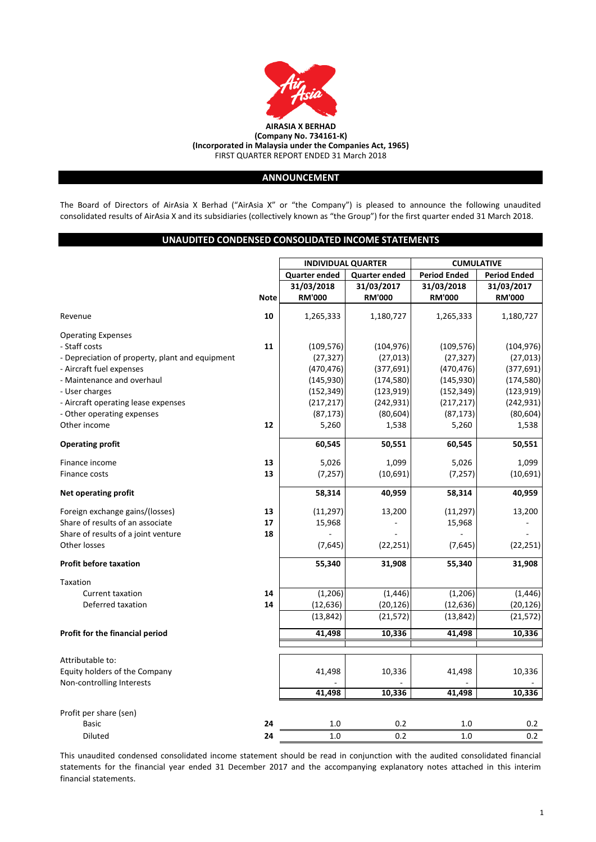

# **ANNOUNCEMENT**

The Board of Directors of AirAsia X Berhad ("AirAsia X" or "the Company") is pleased to announce the following unaudited consolidated results of AirAsia X and its subsidiaries (collectively known as "the Group") for the first quarter ended 31 March 2018.

# **UNAUDITED CONDENSED CONSOLIDATED INCOME STATEMENTS**

|                                                 |             | <b>INDIVIDUAL QUARTER</b> |                      | <b>CUMULATIVE</b>                          |               |  |
|-------------------------------------------------|-------------|---------------------------|----------------------|--------------------------------------------|---------------|--|
|                                                 |             | <b>Quarter ended</b>      | <b>Quarter ended</b> | <b>Period Ended</b><br><b>Period Ended</b> |               |  |
|                                                 |             | 31/03/2018                | 31/03/2017           | 31/03/2018                                 | 31/03/2017    |  |
|                                                 | <b>Note</b> | <b>RM'000</b>             | <b>RM'000</b>        | <b>RM'000</b>                              | <b>RM'000</b> |  |
|                                                 |             |                           |                      |                                            |               |  |
| Revenue                                         | 10          | 1,265,333                 | 1,180,727            | 1,265,333                                  | 1,180,727     |  |
| <b>Operating Expenses</b>                       |             |                           |                      |                                            |               |  |
| - Staff costs                                   | 11          | (109, 576)                | (104, 976)           | (109, 576)                                 | (104, 976)    |  |
| - Depreciation of property, plant and equipment |             | (27, 327)                 | (27, 013)            | (27, 327)                                  | (27, 013)     |  |
| - Aircraft fuel expenses                        |             | (470, 476)                | (377, 691)           | (470, 476)                                 | (377, 691)    |  |
| - Maintenance and overhaul                      |             | (145, 930)                | (174, 580)           | (145, 930)                                 | (174, 580)    |  |
| - User charges                                  |             | (152, 349)                | (123, 919)           | (152, 349)                                 | (123, 919)    |  |
| - Aircraft operating lease expenses             |             | (217, 217)                | (242, 931)           | (217, 217)                                 | (242, 931)    |  |
| - Other operating expenses                      |             | (87, 173)                 | (80, 604)            | (87, 173)                                  | (80, 604)     |  |
| Other income                                    | 12          | 5,260                     | 1,538                | 5,260                                      | 1,538         |  |
| <b>Operating profit</b>                         |             | 60,545                    | 50,551               | 60,545                                     | 50,551        |  |
| Finance income                                  | 13          | 5,026                     | 1,099                | 5,026                                      | 1,099         |  |
| Finance costs                                   | 13          | (7, 257)                  | (10,691)             | (7, 257)                                   | (10,691)      |  |
| <b>Net operating profit</b>                     |             | 58,314                    | 40,959               | 58,314                                     | 40,959        |  |
| Foreign exchange gains/(losses)                 | 13          | (11, 297)                 | 13,200               | (11, 297)                                  | 13,200        |  |
| Share of results of an associate                | 17          | 15,968                    |                      | 15,968                                     |               |  |
| Share of results of a joint venture             | 18          |                           |                      |                                            |               |  |
| Other losses                                    |             | (7,645)                   | (22, 251)            | (7,645)                                    | (22, 251)     |  |
| <b>Profit before taxation</b>                   |             | 55,340                    | 31,908               | 55,340                                     | 31,908        |  |
| Taxation                                        |             |                           |                      |                                            |               |  |
| <b>Current taxation</b>                         | 14          | (1,206)                   | (1, 446)             | (1, 206)                                   | (1, 446)      |  |
| Deferred taxation                               | 14          | (12, 636)                 | (20, 126)            | (12, 636)                                  | (20, 126)     |  |
|                                                 |             | (13, 842)                 | (21, 572)            | (13, 842)                                  | (21, 572)     |  |
| Profit for the financial period                 |             | 41,498                    | 10,336               | 41,498                                     | 10,336        |  |
|                                                 |             |                           |                      |                                            |               |  |
| Attributable to:                                |             |                           |                      |                                            |               |  |
| Equity holders of the Company                   |             | 41,498                    | 10,336               | 41,498                                     | 10,336        |  |
| Non-controlling Interests                       |             |                           |                      |                                            |               |  |
|                                                 |             | 41,498                    | 10,336               | 41,498                                     | 10,336        |  |
| Profit per share (sen)                          |             |                           |                      |                                            |               |  |
| <b>Basic</b>                                    | 24          | 1.0                       | 0.2                  | 1.0                                        | 0.2           |  |
| <b>Diluted</b>                                  | 24          | 1.0                       | 0.2                  | 1.0                                        | 0.2           |  |

This unaudited condensed consolidated income statement should be read in conjunction with the audited consolidated financial statements for the financial year ended 31 December 2017 and the accompanying explanatory notes attached in this interim financial statements.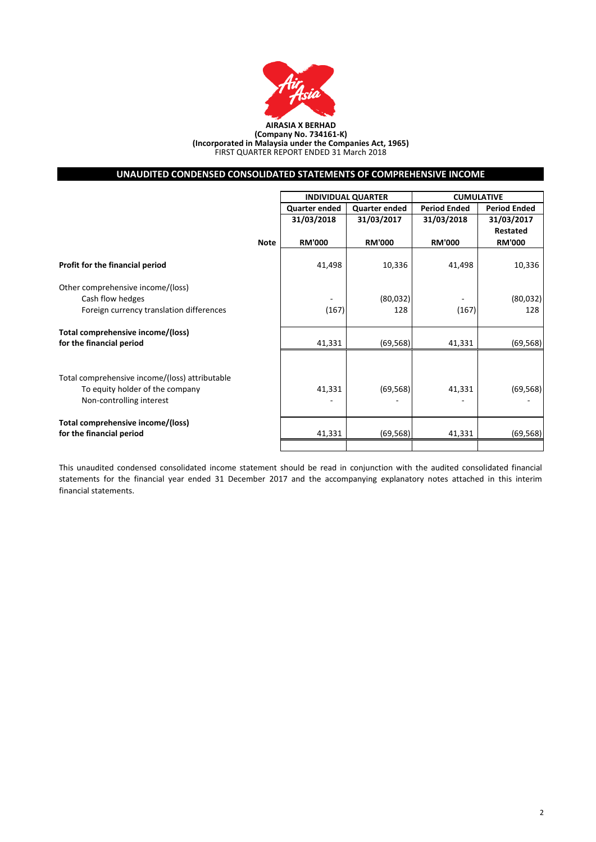

#### **AIRASIA X BERHAD (Company No. 734161-K) (Incorporated in Malaysia under the Companies Act, 1965)** FIRST QUARTER REPORT ENDED 31 March 2018

# **UNAUDITED CONDENSED CONSOLIDATED STATEMENTS OF COMPREHENSIVE INCOME**

|                                                |             |                      | <b>INDIVIDUAL QUARTER</b> | <b>CUMULATIVE</b>   |                     |  |
|------------------------------------------------|-------------|----------------------|---------------------------|---------------------|---------------------|--|
|                                                |             | <b>Quarter ended</b> | <b>Quarter ended</b>      | <b>Period Ended</b> | <b>Period Ended</b> |  |
|                                                |             | 31/03/2018           | 31/03/2017                | 31/03/2018          | 31/03/2017          |  |
|                                                |             |                      |                           |                     | <b>Restated</b>     |  |
|                                                | <b>Note</b> | <b>RM'000</b>        | <b>RM'000</b>             | <b>RM'000</b>       | <b>RM'000</b>       |  |
| Profit for the financial period                |             | 41,498               | 10,336                    | 41,498              | 10,336              |  |
| Other comprehensive income/(loss)              |             |                      |                           |                     |                     |  |
| Cash flow hedges                               |             |                      | (80,032)                  |                     | (80,032)            |  |
| Foreign currency translation differences       |             | (167)                | 128                       | (167)               | 128                 |  |
| Total comprehensive income/(loss)              |             |                      |                           |                     |                     |  |
| for the financial period                       |             | 41,331               | (69, 568)                 | 41,331              | (69, 568)           |  |
|                                                |             |                      |                           |                     |                     |  |
| Total comprehensive income/(loss) attributable |             |                      |                           |                     |                     |  |
| To equity holder of the company                |             | 41,331               | (69, 568)                 | 41,331              | (69, 568)           |  |
| Non-controlling interest                       |             |                      |                           |                     |                     |  |
| Total comprehensive income/(loss)              |             |                      |                           |                     |                     |  |
| for the financial period                       |             | 41,331               | (69, 568)                 | 41,331              | (69, 568)           |  |
|                                                |             |                      |                           |                     |                     |  |

This unaudited condensed consolidated income statement should be read in conjunction with the audited consolidated financial statements for the financial year ended 31 December 2017 and the accompanying explanatory notes attached in this interim financial statements.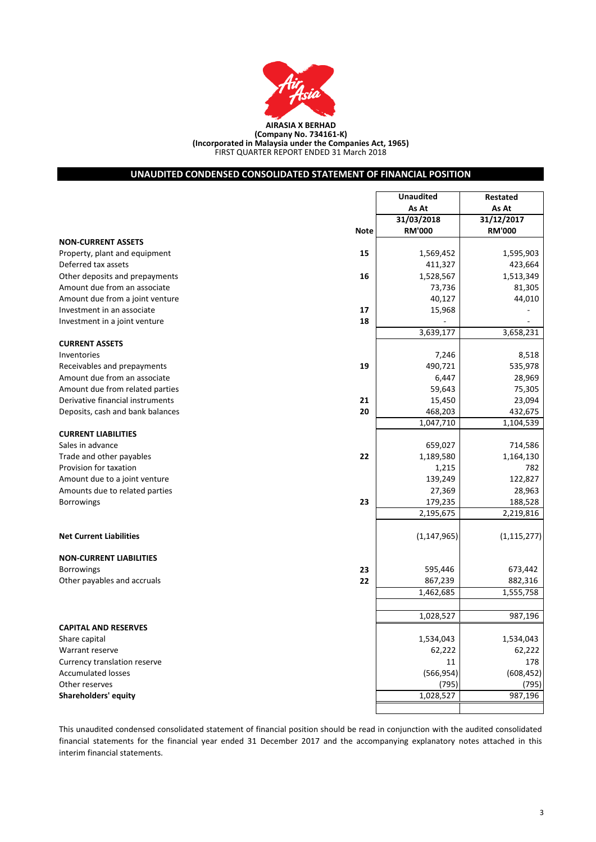

## FIRST QUARTER REPORT ENDED 31 March 2018 **(Company No. 734161-K) (Incorporated in Malaysia under the Companies Act, 1965)**

# **UNAUDITED CONDENSED CONSOLIDATED STATEMENT OF FINANCIAL POSITION**

|                                  |             | <b>Unaudited</b> | Restated      |
|----------------------------------|-------------|------------------|---------------|
|                                  |             | As At            | As At         |
|                                  |             | 31/03/2018       | 31/12/2017    |
|                                  | <b>Note</b> | <b>RM'000</b>    | <b>RM'000</b> |
| <b>NON-CURRENT ASSETS</b>        |             |                  |               |
| Property, plant and equipment    | 15          | 1,569,452        | 1,595,903     |
| Deferred tax assets              |             | 411,327          | 423,664       |
| Other deposits and prepayments   | 16          | 1,528,567        | 1,513,349     |
| Amount due from an associate     |             | 73,736           | 81,305        |
| Amount due from a joint venture  |             | 40,127           | 44,010        |
| Investment in an associate       | 17          | 15,968           |               |
| Investment in a joint venture    | 18          |                  |               |
|                                  |             | 3,639,177        | 3,658,231     |
| <b>CURRENT ASSETS</b>            |             |                  |               |
| Inventories                      |             | 7,246            | 8,518         |
| Receivables and prepayments      | 19          | 490,721          | 535,978       |
| Amount due from an associate     |             | 6,447            | 28,969        |
| Amount due from related parties  |             | 59,643           | 75,305        |
| Derivative financial instruments | 21          | 15,450           | 23,094        |
| Deposits, cash and bank balances | 20          | 468,203          | 432,675       |
|                                  |             | 1,047,710        | 1,104,539     |
| <b>CURRENT LIABILITIES</b>       |             |                  |               |
| Sales in advance                 |             | 659,027          | 714,586       |
| Trade and other payables         | 22          | 1,189,580        | 1,164,130     |
| Provision for taxation           |             | 1,215            | 782           |
| Amount due to a joint venture    |             | 139,249          | 122,827       |
| Amounts due to related parties   |             | 27,369           | 28,963        |
| <b>Borrowings</b>                | 23          | 179,235          | 188,528       |
|                                  |             | 2,195,675        | 2,219,816     |
|                                  |             |                  |               |
| <b>Net Current Liabilities</b>   |             | (1, 147, 965)    | (1, 115, 277) |
| <b>NON-CURRENT LIABILITIES</b>   |             |                  |               |
| <b>Borrowings</b>                | 23          | 595,446          | 673,442       |
| Other payables and accruals      | 22          | 867,239          | 882,316       |
|                                  |             | 1,462,685        | 1,555,758     |
|                                  |             |                  |               |
|                                  |             | 1,028,527        | 987,196       |
| <b>CAPITAL AND RESERVES</b>      |             |                  |               |
| Share capital                    |             | 1,534,043        | 1,534,043     |
| Warrant reserve                  |             | 62,222           | 62,222        |
| Currency translation reserve     |             | 11               | 178           |
| <b>Accumulated losses</b>        |             | (566, 954)       | (608, 452)    |
| Other reserves                   |             | (795)            | (795)         |
| <b>Shareholders' equity</b>      |             | 1,028,527        | 987,196       |
|                                  |             |                  |               |

This unaudited condensed consolidated statement of financial position should be read in conjunction with the audited consolidated financial statements for the financial year ended 31 December 2017 and the accompanying explanatory notes attached in this interim financial statements.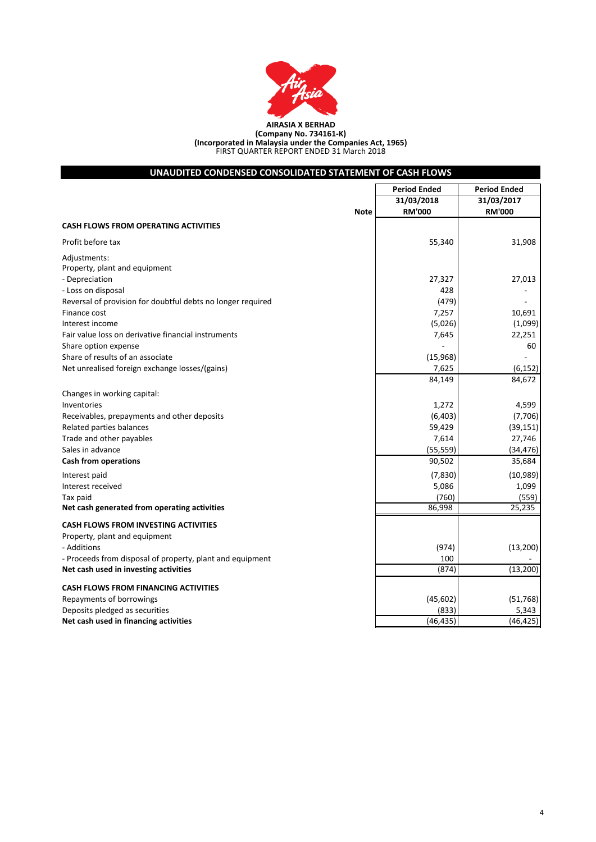

| UNAUDITED CONDENSED CONSOLIDATED STATEMENT OF CASH FLOWS    |                     |                     |  |  |  |  |
|-------------------------------------------------------------|---------------------|---------------------|--|--|--|--|
|                                                             | <b>Period Ended</b> | <b>Period Ended</b> |  |  |  |  |
|                                                             | 31/03/2018          | 31/03/2017          |  |  |  |  |
| <b>Note</b>                                                 | <b>RM'000</b>       | <b>RM'000</b>       |  |  |  |  |
| <b>CASH FLOWS FROM OPERATING ACTIVITIES</b>                 |                     |                     |  |  |  |  |
| Profit before tax                                           | 55,340              | 31,908              |  |  |  |  |
| Adjustments:                                                |                     |                     |  |  |  |  |
| Property, plant and equipment                               |                     |                     |  |  |  |  |
| - Depreciation                                              | 27,327              | 27,013              |  |  |  |  |
| - Loss on disposal                                          | 428                 |                     |  |  |  |  |
| Reversal of provision for doubtful debts no longer required | (479)               |                     |  |  |  |  |
| Finance cost                                                | 7,257               | 10,691              |  |  |  |  |
| Interest income                                             | (5,026)             | (1,099)             |  |  |  |  |
| Fair value loss on derivative financial instruments         | 7,645               | 22,251              |  |  |  |  |
| Share option expense                                        |                     | 60                  |  |  |  |  |
| Share of results of an associate                            | (15,968)            |                     |  |  |  |  |
| Net unrealised foreign exchange losses/(gains)              | 7,625               | (6, 152)            |  |  |  |  |
|                                                             | 84,149              | 84,672              |  |  |  |  |
| Changes in working capital:                                 |                     |                     |  |  |  |  |
| Inventories                                                 | 1,272               | 4,599               |  |  |  |  |
| Receivables, prepayments and other deposits                 | (6, 403)            | (7,706)             |  |  |  |  |
| Related parties balances                                    | 59,429              | (39, 151)           |  |  |  |  |
| Trade and other payables                                    | 7,614               | 27,746              |  |  |  |  |
| Sales in advance                                            | (55, 559)           | (34, 476)           |  |  |  |  |
| Cash from operations                                        | 90,502              | 35,684              |  |  |  |  |
| Interest paid                                               | (7,830)             | (10, 989)           |  |  |  |  |
| Interest received                                           | 5,086               | 1,099               |  |  |  |  |
| Tax paid                                                    | (760)               | (559)               |  |  |  |  |
| Net cash generated from operating activities                | 86,998              | 25,235              |  |  |  |  |
| <b>CASH FLOWS FROM INVESTING ACTIVITIES</b>                 |                     |                     |  |  |  |  |
| Property, plant and equipment                               |                     |                     |  |  |  |  |
| - Additions                                                 | (974)               | (13, 200)           |  |  |  |  |
| - Proceeds from disposal of property, plant and equipment   | 100                 |                     |  |  |  |  |
| Net cash used in investing activities                       | (874)               | (13,200)            |  |  |  |  |
|                                                             |                     |                     |  |  |  |  |
| <b>CASH FLOWS FROM FINANCING ACTIVITIES</b>                 |                     |                     |  |  |  |  |
| Repayments of borrowings                                    | (45, 602)           | (51, 768)           |  |  |  |  |
| Deposits pledged as securities                              | (833)               | 5,343               |  |  |  |  |
| Net cash used in financing activities                       | (46, 435)           | (46, 425)           |  |  |  |  |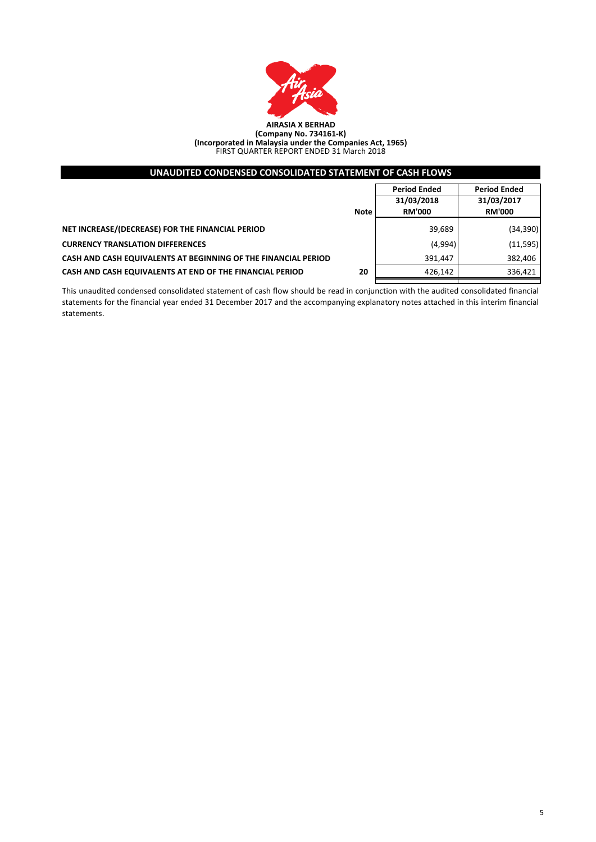

| UNAUDITED CONDENSED CONSOLIDATED STATEMENT OF CASH FLOWS       |             |                                   |                                   |  |  |  |  |
|----------------------------------------------------------------|-------------|-----------------------------------|-----------------------------------|--|--|--|--|
|                                                                |             | <b>Period Ended</b><br>31/03/2018 | <b>Period Ended</b><br>31/03/2017 |  |  |  |  |
|                                                                | <b>Note</b> | <b>RM'000</b>                     | <b>RM'000</b>                     |  |  |  |  |
| NET INCREASE/(DECREASE) FOR THE FINANCIAL PERIOD               |             | 39,689                            | (34, 390)                         |  |  |  |  |
| <b>CURRENCY TRANSLATION DIFFERENCES</b>                        |             | (4,994)                           | (11,595)                          |  |  |  |  |
| CASH AND CASH EQUIVALENTS AT BEGINNING OF THE FINANCIAL PERIOD |             | 391,447                           | 382,406                           |  |  |  |  |
| CASH AND CASH EQUIVALENTS AT END OF THE FINANCIAL PERIOD       | 20          | 426,142                           | 336,421                           |  |  |  |  |
|                                                                |             |                                   |                                   |  |  |  |  |

This unaudited condensed consolidated statement of cash flow should be read in conjunction with the audited consolidated financial statements for the financial year ended 31 December 2017 and the accompanying explanatory notes attached in this interim financial statements.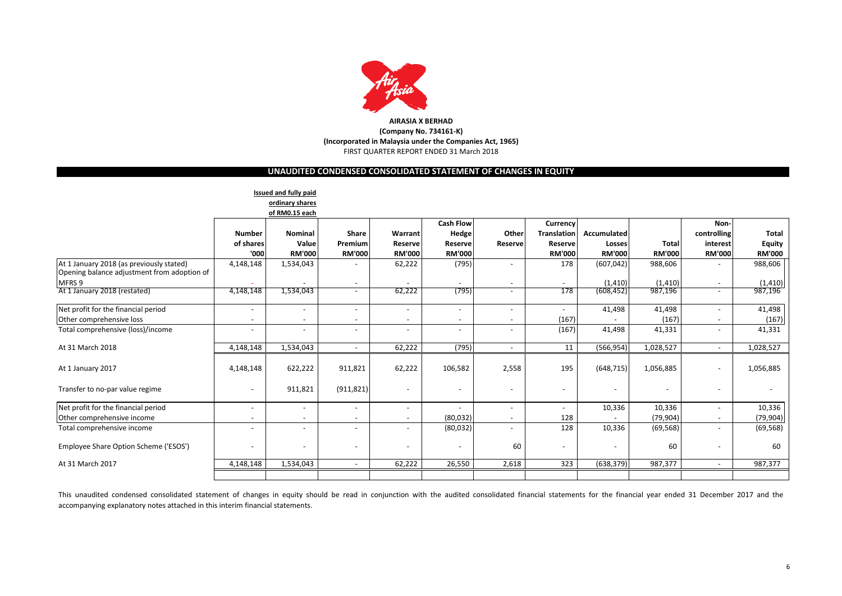

# **UNAUDITED CONDENSED CONSOLIDATED STATEMENT OF CHANGES IN EQUITY**

|                                                                                         |                          | Issued and fully paid    |                          |                          |                          |                          |                          |               |               |                          |               |
|-----------------------------------------------------------------------------------------|--------------------------|--------------------------|--------------------------|--------------------------|--------------------------|--------------------------|--------------------------|---------------|---------------|--------------------------|---------------|
|                                                                                         |                          | ordinary shares          |                          |                          |                          |                          |                          |               |               |                          |               |
|                                                                                         |                          | of RM0.15 each           |                          |                          |                          |                          |                          |               |               |                          |               |
|                                                                                         |                          |                          |                          |                          | <b>Cash Flow</b>         |                          | Currency                 |               |               | Non-                     |               |
|                                                                                         | <b>Number</b>            | Nominal                  | Share                    | Warrant                  | Hedge                    | Other                    | <b>Translation</b>       | Accumulated   |               | controlling              | Total         |
|                                                                                         | of shares                | Value                    | Premium                  | <b>Reserve</b>           | <b>Reserve</b>           | Reserve                  | Reserve                  | Losses        | <b>Total</b>  | interest                 | <b>Equity</b> |
|                                                                                         | '000                     | <b>RM'000</b>            | <b>RM'000</b>            | <b>RM'000</b>            | <b>RM'000</b>            |                          | <b>RM'000</b>            | <b>RM'000</b> | <b>RM'000</b> | <b>RM'000</b>            | <b>RM'000</b> |
| At 1 January 2018 (as previously stated)<br>Opening balance adjustment from adoption of | 4,148,148                | 1,534,043                |                          | 62,222                   | (795)                    | $\overline{\phantom{0}}$ | 178                      | (607, 042)    | 988,606       |                          | 988,606       |
| MFRS 9                                                                                  |                          |                          |                          |                          |                          | $\overline{\phantom{a}}$ |                          | (1, 410)      | (1, 410)      | $\overline{\phantom{a}}$ | (1, 410)      |
| At 1 January 2018 (restated)                                                            | 4,148,148                | 1,534,043                | $\overline{\phantom{a}}$ | 62,222                   | (795)                    | $\overline{\phantom{a}}$ | 178                      | (608, 452)    | 987,196       | $\overline{\phantom{a}}$ | 987,196       |
| Net profit for the financial period                                                     | $\overline{\phantom{a}}$ | $\overline{\phantom{a}}$ |                          | $\sim$                   | $\sim$                   | $\overline{\phantom{a}}$ |                          | 41,498        | 41,498        | $\overline{a}$           | 41,498        |
| Other comprehensive loss                                                                | $\blacksquare$           |                          |                          | $\sim$                   |                          |                          | (167)                    |               | (167)         | ۰                        | (167)         |
| Total comprehensive (loss)/income                                                       | $\overline{\phantom{a}}$ | $\overline{\phantom{a}}$ |                          | $\overline{\phantom{0}}$ |                          |                          | (167)                    | 41,498        | 41,331        | -                        | 41,331        |
| At 31 March 2018                                                                        | 4,148,148                | 1,534,043                | $\sim$                   | 62,222                   | (795)                    | $\overline{\phantom{a}}$ | 11                       | (566, 954)    | 1,028,527     | $\sim$                   | 1,028,527     |
| At 1 January 2017                                                                       | 4,148,148                | 622,222                  | 911,821                  | 62,222                   | 106,582                  | 2,558                    | 195                      | (648, 715)    | 1,056,885     | $\overline{\phantom{a}}$ | 1,056,885     |
| Transfer to no-par value regime                                                         | $\blacksquare$           | 911,821                  | (911, 821)               |                          |                          | $\overline{\phantom{a}}$ |                          |               |               | $\overline{\phantom{0}}$ |               |
| Net profit for the financial period                                                     | $\blacksquare$           | $\overline{\phantom{a}}$ |                          | $\overline{\phantom{a}}$ |                          | $\overline{\phantom{m}}$ | $\sim$                   | 10,336        | 10,336        | -                        | 10,336        |
| Other comprehensive income                                                              | $\overline{\phantom{a}}$ | $\overline{\phantom{a}}$ |                          | $\sim$                   | (80,032)                 | $\overline{\phantom{a}}$ | 128                      |               | (79,904)      | $\overline{\phantom{a}}$ | (79, 904)     |
| Total comprehensive income                                                              | $\overline{\phantom{a}}$ |                          |                          | $\overline{\phantom{a}}$ | (80,032)                 | $\overline{\phantom{m}}$ | 128                      | 10,336        | (69, 568)     |                          | (69, 568)     |
| Employee Share Option Scheme ('ESOS')                                                   | $\overline{\phantom{a}}$ | $\overline{\phantom{a}}$ |                          |                          | $\overline{\phantom{a}}$ | 60                       | $\overline{\phantom{a}}$ |               | 60            | -                        | 60            |
| At 31 March 2017                                                                        | 4,148,148                | 1,534,043                | $\sim$                   | 62,222                   | 26,550                   | 2,618                    | 323                      | (638, 379)    | 987,377       | $\sim$                   | 987,377       |
|                                                                                         |                          |                          |                          |                          |                          |                          |                          |               |               |                          |               |

This unaudited condensed consolidated statement of changes in equity should be read in conjunction with the audited consolidated financial statements for the financial year ended 31 December 2017 and the accompanying explanatory notes attached in this interim financial statements.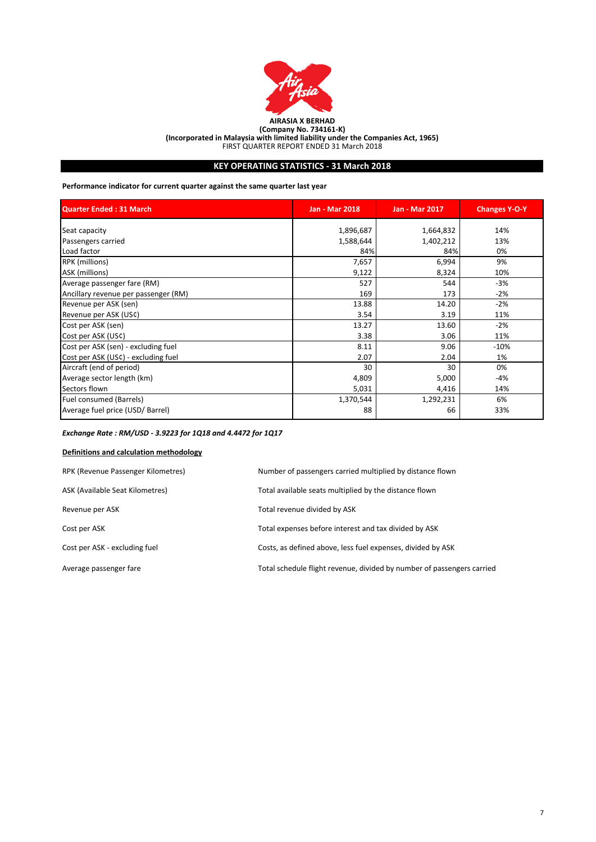

**(Incorporated in Malaysia with limited liability under the Companies Act, 1965)**

FIRST QUARTER REPORT ENDED 31 March 2018

# **KEY OPERATING STATISTICS - 31 March 2018**

**Performance indicator for current quarter against the same quarter last year**

| <b>Quarter Ended: 31 March</b>       | <b>Jan - Mar 2018</b> | <b>Jan - Mar 2017</b> | <b>Changes Y-O-Y</b> |
|--------------------------------------|-----------------------|-----------------------|----------------------|
| Seat capacity                        | 1,896,687             | 1,664,832             | 14%                  |
| Passengers carried                   | 1,588,644             | 1,402,212             | 13%                  |
| Load factor                          | 84%                   | 84%                   | 0%                   |
| RPK (millions)                       | 7,657                 | 6,994                 | 9%                   |
| ASK (millions)                       | 9,122                 | 8,324                 | 10%                  |
| Average passenger fare (RM)          | 527                   | 544                   | $-3%$                |
| Ancillary revenue per passenger (RM) | 169                   | 173                   | $-2%$                |
| Revenue per ASK (sen)                | 13.88                 | 14.20                 | $-2%$                |
| Revenue per ASK (US¢)                | 3.54                  | 3.19                  | 11%                  |
| Cost per ASK (sen)                   | 13.27                 | 13.60                 | $-2%$                |
| Cost per ASK (US¢)                   | 3.38                  | 3.06                  | 11%                  |
| Cost per ASK (sen) - excluding fuel  | 8.11                  | 9.06                  | $-10%$               |
| Cost per ASK (US¢) - excluding fuel  | 2.07                  | 2.04                  | 1%                   |
| Aircraft (end of period)             | 30                    | 30                    | 0%                   |
| Average sector length (km)           | 4,809                 | 5,000                 | -4%                  |
| Sectors flown                        | 5,031                 | 4,416                 | 14%                  |
| Fuel consumed (Barrels)              | 1,370,544             | 1,292,231             | 6%                   |
| Average fuel price (USD/ Barrel)     | 88                    | 66                    | 33%                  |

# *Exchange Rate : RM/USD - 3.9223 for 1Q18 and 4.4472 for 1Q17*

# **Definitions and calculation methodology**

| RPK (Revenue Passenger Kilometres) | Number of passengers carried multiplied by distance flown              |
|------------------------------------|------------------------------------------------------------------------|
| ASK (Available Seat Kilometres)    | Total available seats multiplied by the distance flown                 |
| Revenue per ASK                    | Total revenue divided by ASK                                           |
| Cost per ASK                       | Total expenses before interest and tax divided by ASK                  |
| Cost per ASK - excluding fuel      | Costs, as defined above, less fuel expenses, divided by ASK            |
| Average passenger fare             | Total schedule flight revenue, divided by number of passengers carried |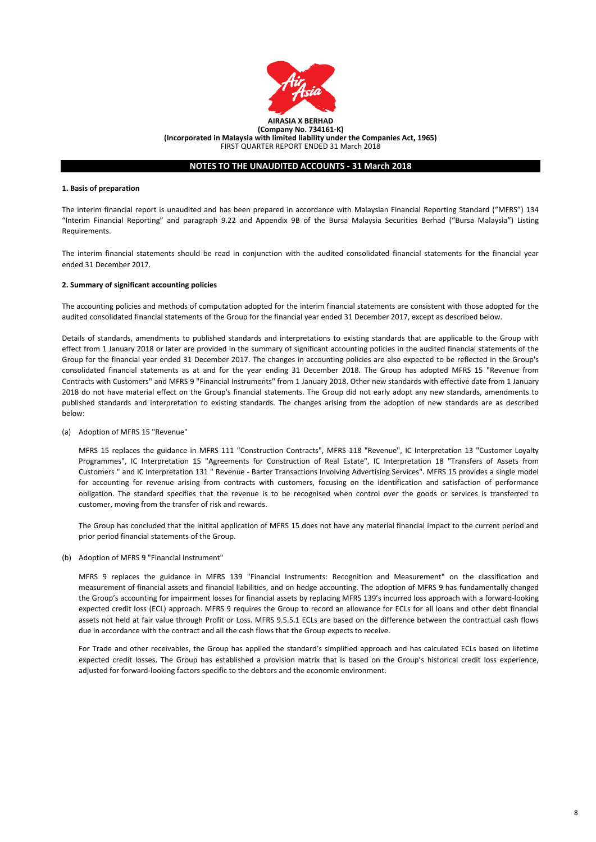

#### **1. Basis of preparation**

The interim financial report is unaudited and has been prepared in accordance with Malaysian Financial Reporting Standard ("MFRS") 134 "Interim Financial Reporting" and paragraph 9.22 and Appendix 9B of the Bursa Malaysia Securities Berhad ("Bursa Malaysia") Listing Requirements.

The interim financial statements should be read in conjunction with the audited consolidated financial statements for the financial year ended 31 December 2017.

#### **2. Summary of significant accounting policies**

The accounting policies and methods of computation adopted for the interim financial statements are consistent with those adopted for the audited consolidated financial statements of the Group for the financial year ended 31 December 2017, except as described below.

Details of standards, amendments to published standards and interpretations to existing standards that are applicable to the Group with effect from 1 January 2018 or later are provided in the summary of significant accounting policies in the audited financial statements of the Group for the financial year ended 31 December 2017. The changes in accounting policies are also expected to be reflected in the Group's consolidated financial statements as at and for the year ending 31 December 2018. The Group has adopted MFRS 15 "Revenue from Contracts with Customers" and MFRS 9 "Financial Instruments" from 1 January 2018. Other new standards with effective date from 1 January 2018 do not have material effect on the Group's financial statements. The Group did not early adopt any new standards, amendments to published standards and interpretation to existing standards. The changes arising from the adoption of new standards are as described below:

(a) Adoption of MFRS 15 "Revenue"

MFRS 15 replaces the guidance in MFRS 111 "Construction Contracts", MFRS 118 "Revenue", IC Interpretation 13 "Customer Loyalty Programmes", IC Interpretation 15 "Agreements for Construction of Real Estate", IC Interpretation 18 "Transfers of Assets from Customers " and IC Interpretation 131 " Revenue - Barter Transactions Involving Advertising Services". MFRS 15 provides a single model for accounting for revenue arising from contracts with customers, focusing on the identification and satisfaction of performance obligation. The standard specifies that the revenue is to be recognised when control over the goods or services is transferred to customer, moving from the transfer of risk and rewards.

The Group has concluded that the initital application of MFRS 15 does not have any material financial impact to the current period and prior period financial statements of the Group.

(b) Adoption of MFRS 9 "Financial Instrument"

MFRS 9 replaces the guidance in MFRS 139 "Financial Instruments: Recognition and Measurement" on the classification and measurement of financial assets and financial liabilities, and on hedge accounting. The adoption of MFRS 9 has fundamentally changed the Group's accounting for impairment losses for financial assets by replacing MFRS 139's incurred loss approach with a forward-looking expected credit loss (ECL) approach. MFRS 9 requires the Group to record an allowance for ECLs for all loans and other debt financial assets not held at fair value through Profit or Loss. MFRS 9.5.5.1 ECLs are based on the difference between the contractual cash flows due in accordance with the contract and all the cash flows that the Group expects to receive.

For Trade and other receivables, the Group has applied the standard's simplified approach and has calculated ECLs based on lifetime expected credit losses. The Group has established a provision matrix that is based on the Group's historical credit loss experience, adjusted for forward-looking factors specific to the debtors and the economic environment.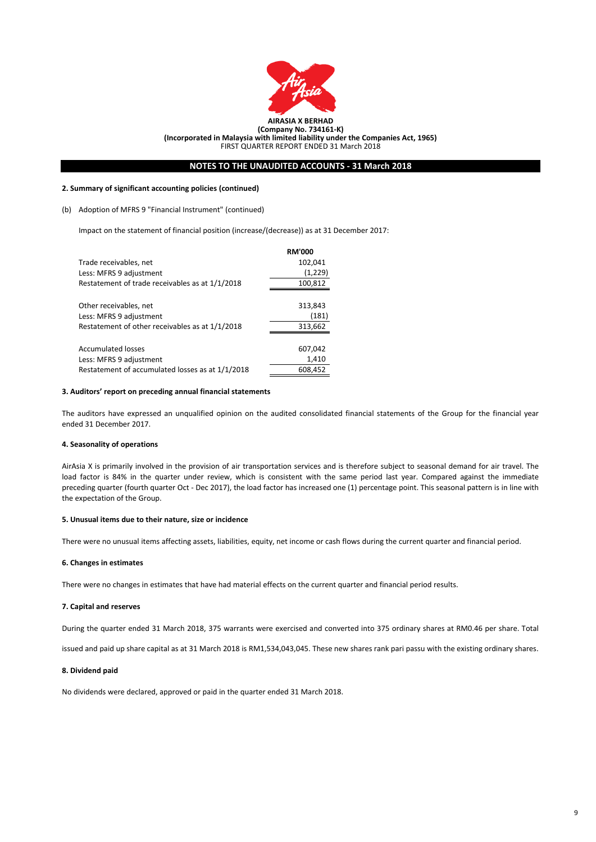

#### **2. Summary of significant accounting policies (continued)**

#### (b) Adoption of MFRS 9 "Financial Instrument" (continued)

Impact on the statement of financial position (increase/(decrease)) as at 31 December 2017:

|                                                  | <b>RM'000</b> |
|--------------------------------------------------|---------------|
| Trade receivables, net                           | 102,041       |
| Less: MFRS 9 adjustment                          | (1,229)       |
| Restatement of trade receivables as at 1/1/2018  | 100,812       |
|                                                  |               |
| Other receivables, net                           | 313,843       |
| Less: MFRS 9 adjustment                          | (181)         |
| Restatement of other receivables as at 1/1/2018  | 313,662       |
|                                                  |               |
| <b>Accumulated losses</b>                        | 607,042       |
| Less: MFRS 9 adjustment                          | 1,410         |
| Restatement of accumulated losses as at 1/1/2018 | 608,452       |

#### **3. Auditors' report on preceding annual financial statements**

The auditors have expressed an unqualified opinion on the audited consolidated financial statements of the Group for the financial year ended 31 December 2017.

#### **4. Seasonality of operations**

AirAsia X is primarily involved in the provision of air transportation services and is therefore subject to seasonal demand for air travel. The load factor is 84% in the quarter under review, which is consistent with the same period last year. Compared against the immediate preceding quarter (fourth quarter Oct - Dec 2017), the load factor has increased one (1) percentage point. This seasonal pattern is in line with the expectation of the Group.

#### **5. Unusual items due to their nature, size or incidence**

There were no unusual items affecting assets, liabilities, equity, net income or cash flows during the current quarter and financial period.

#### **6. Changes in estimates**

There were no changes in estimates that have had material effects on the current quarter and financial period results.

#### **7. Capital and reserves**

During the quarter ended 31 March 2018, 375 warrants were exercised and converted into 375 ordinary shares at RM0.46 per share. Total

issued and paid up share capital as at 31 March 2018 is RM1,534,043,045. These new shares rank pari passu with the existing ordinary shares.

#### **8. Dividend paid**

No dividends were declared, approved or paid in the quarter ended 31 March 2018.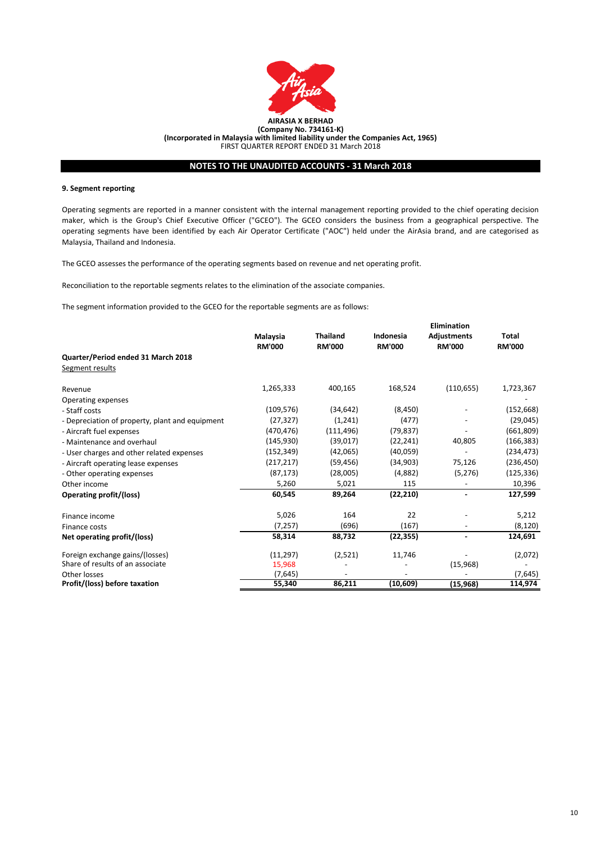

#### **9. Segment reporting**

Operating segments are reported in a manner consistent with the internal management reporting provided to the chief operating decision maker, which is the Group's Chief Executive Officer ("GCEO"). The GCEO considers the business from a geographical perspective. The operating segments have been identified by each Air Operator Certificate ("AOC") held under the AirAsia brand, and are categorised as Malaysia, Thailand and Indonesia.

The GCEO assesses the performance of the operating segments based on revenue and net operating profit.

Reconciliation to the reportable segments relates to the elimination of the associate companies.

The segment information provided to the GCEO for the reportable segments are as follows:

|                                                 | Malaysia<br><b>RM'000</b> | <b>Thailand</b><br><b>RM'000</b> | Indonesia<br><b>RM'000</b> | Elimination<br><b>Adjustments</b><br><b>RM'000</b> | <b>Total</b><br><b>RM'000</b> |
|-------------------------------------------------|---------------------------|----------------------------------|----------------------------|----------------------------------------------------|-------------------------------|
| Quarter/Period ended 31 March 2018              |                           |                                  |                            |                                                    |                               |
| Segment results                                 |                           |                                  |                            |                                                    |                               |
| Revenue                                         | 1,265,333                 | 400,165                          | 168,524                    | (110, 655)                                         | 1,723,367                     |
| Operating expenses                              |                           |                                  |                            |                                                    |                               |
| - Staff costs                                   | (109, 576)                | (34, 642)                        | (8, 450)                   |                                                    | (152, 668)                    |
| - Depreciation of property, plant and equipment | (27, 327)                 | (1,241)                          | (477)                      |                                                    | (29, 045)                     |
| - Aircraft fuel expenses                        | (470, 476)                | (111, 496)                       | (79, 837)                  |                                                    | (661,809)                     |
| - Maintenance and overhaul                      | (145, 930)                | (39,017)                         | (22, 241)                  | 40,805                                             | (166, 383)                    |
| - User charges and other related expenses       | (152,349)                 | (42,065)                         | (40, 059)                  |                                                    | (234, 473)                    |
| - Aircraft operating lease expenses             | (217, 217)                | (59, 456)                        | (34,903)                   | 75,126                                             | (236, 450)                    |
| - Other operating expenses                      | (87, 173)                 | (28,005)                         | (4,882)                    | (5, 276)                                           | (125, 336)                    |
| Other income                                    | 5,260                     | 5,021                            | 115                        |                                                    | 10,396                        |
| Operating profit/(loss)                         | 60,545                    | 89,264                           | (22, 210)                  |                                                    | 127,599                       |
| Finance income                                  | 5,026                     | 164                              | 22                         |                                                    | 5,212                         |
| Finance costs                                   | (7, 257)                  | (696)                            | (167)                      |                                                    | (8, 120)                      |
| Net operating profit/(loss)                     | 58,314                    | 88,732                           | (22, 355)                  | $\blacksquare$                                     | 124,691                       |
| Foreign exchange gains/(losses)                 | (11, 297)                 | (2,521)                          | 11,746                     |                                                    | (2,072)                       |
| Share of results of an associate                | 15,968                    |                                  |                            | (15,968)                                           |                               |
| Other losses                                    | (7,645)                   |                                  |                            |                                                    | (7,645)                       |
| Profit/(loss) before taxation                   | 55,340                    | 86,211                           | (10, 609)                  | (15, 968)                                          | 114,974                       |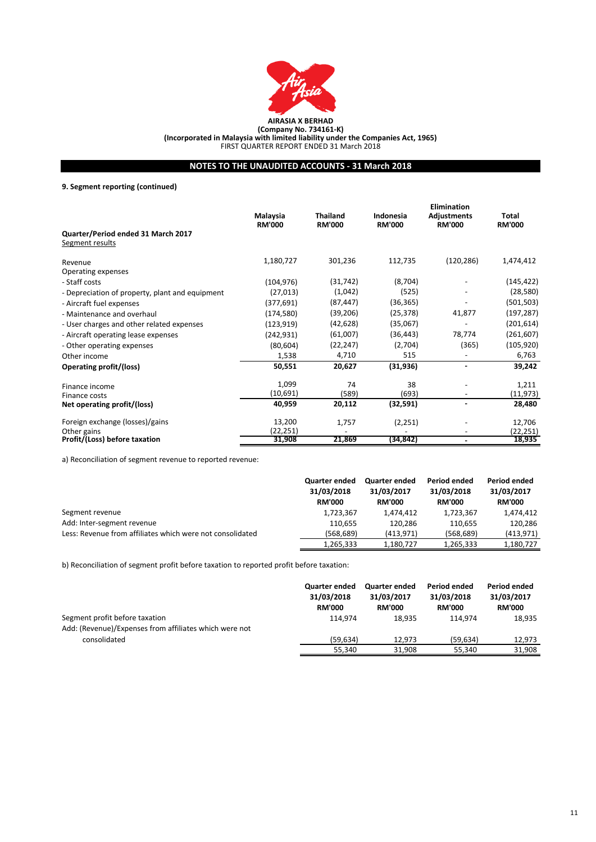

# **NOTES TO THE UNAUDITED ACCOUNTS - 31 March 2018**

**9. Segment reporting (continued)**

|                                                       |                           |                                  |                            | <b>Elimination</b>           |                        |  |
|-------------------------------------------------------|---------------------------|----------------------------------|----------------------------|------------------------------|------------------------|--|
|                                                       | Malaysia<br><b>RM'000</b> | <b>Thailand</b><br><b>RM'000</b> | Indonesia<br><b>RM'000</b> | Adjustments<br><b>RM'000</b> | Total<br><b>RM'000</b> |  |
| Quarter/Period ended 31 March 2017<br>Segment results |                           |                                  |                            |                              |                        |  |
| Revenue                                               | 1,180,727                 | 301,236                          | 112,735                    | (120, 286)                   | 1,474,412              |  |
| Operating expenses                                    |                           |                                  |                            |                              |                        |  |
| - Staff costs                                         | (104, 976)                | (31, 742)                        | (8,704)                    |                              | (145, 422)             |  |
| - Depreciation of property, plant and equipment       | (27, 013)                 | (1,042)                          | (525)                      |                              | (28, 580)              |  |
| - Aircraft fuel expenses                              | (377, 691)                | (87, 447)                        | (36, 365)                  |                              | (501,503)              |  |
| - Maintenance and overhaul                            | (174, 580)                | (39,206)                         | (25, 378)                  | 41,877                       | (197, 287)             |  |
| - User charges and other related expenses             | (123, 919)                | (42, 628)                        | (35,067)                   |                              | (201, 614)             |  |
| - Aircraft operating lease expenses                   | (242,931)                 | (61,007)                         | (36, 443)                  | 78,774                       | (261, 607)             |  |
| - Other operating expenses                            | (80, 604)                 | (22, 247)                        | (2,704)                    | (365)                        | (105, 920)             |  |
| Other income                                          | 1,538                     | 4,710                            | 515                        |                              | 6,763                  |  |
| Operating profit/(loss)                               | 50,551                    | 20,627                           | (31, 936)                  |                              | 39,242                 |  |
| Finance income                                        | 1,099                     | 74                               | 38                         |                              | 1,211                  |  |
| Finance costs                                         | (10,691)                  | (589)                            | (693)                      |                              | (11, 973)              |  |
| Net operating profit/(loss)                           | 40,959                    | 20,112                           | (32, 591)                  | $\blacksquare$               | 28,480                 |  |
| Foreign exchange (losses)/gains                       | 13,200                    | 1,757                            | (2, 251)                   |                              | 12,706                 |  |
| Other gains                                           | (22, 251)                 |                                  |                            |                              | (22,251)               |  |
| Profit/(Loss) before taxation                         | 31,908                    | 21,869                           | (34,842)                   |                              | 18,935                 |  |

a) Reconciliation of segment revenue to reported revenue:

|                                                           | <b>Quarter ended</b><br>31/03/2018<br><b>RM'000</b> | <b>Quarter ended</b><br>31/03/2017<br><b>RM'000</b> | <b>Period ended</b><br>31/03/2018<br><b>RM'000</b> | <b>Period ended</b><br>31/03/2017<br><b>RM'000</b> |
|-----------------------------------------------------------|-----------------------------------------------------|-----------------------------------------------------|----------------------------------------------------|----------------------------------------------------|
| Segment revenue                                           | 1,723,367                                           | 1.474.412                                           | 1,723,367                                          | 1,474,412                                          |
| Add: Inter-segment revenue                                | 110,655                                             | 120.286                                             | 110.655                                            | 120.286                                            |
| Less: Revenue from affiliates which were not consolidated | (568, 689)                                          | (413.971)                                           | (568, 689)                                         | (413, 971)                                         |
|                                                           | 1,265,333                                           | 1,180,727                                           | 1,265,333                                          | 1,180,727                                          |

b) Reconciliation of segment profit before taxation to reported profit before taxation:

|                                                        | <b>Quarter ended</b><br>31/03/2018<br><b>RM'000</b> | <b>Quarter ended</b><br>31/03/2017<br><b>RM'000</b> | Period ended<br>31/03/2018<br><b>RM'000</b> | <b>Period ended</b><br>31/03/2017<br><b>RM'000</b> |
|--------------------------------------------------------|-----------------------------------------------------|-----------------------------------------------------|---------------------------------------------|----------------------------------------------------|
| Segment profit before taxation                         | 114.974                                             | 18.935                                              | 114.974                                     | 18,935                                             |
| Add: (Revenue)/Expenses from affiliates which were not |                                                     |                                                     |                                             |                                                    |
| consolidated                                           | (59.634)                                            | 12.973                                              | (59.634)                                    | 12.973                                             |
|                                                        | 55,340                                              | 31.908                                              | 55,340                                      | 31,908                                             |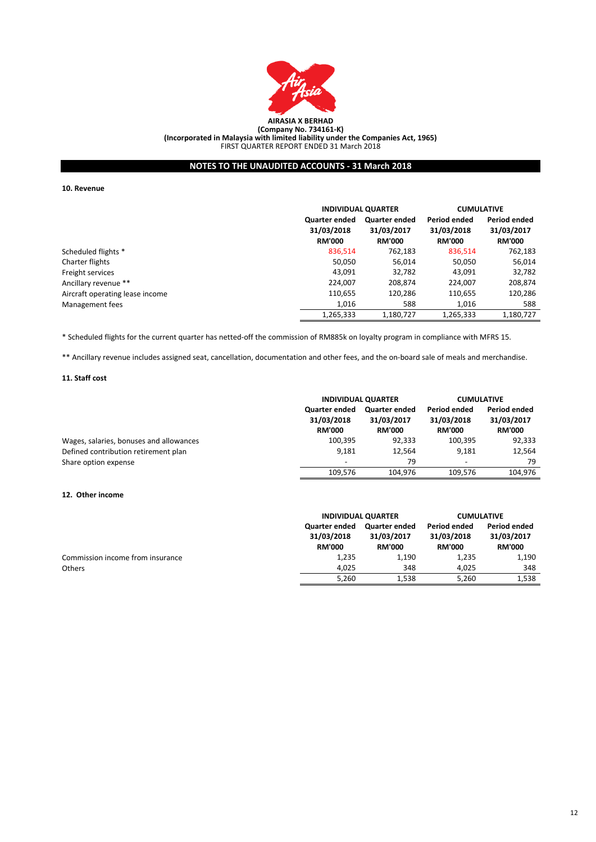

# **NOTES TO THE UNAUDITED ACCOUNTS - 31 March 2018**

**10. Revenue**

|                                 |                                              | <b>INDIVIDUAL QUARTER</b>                           |                                             | <b>CUMULATIVE</b>                           |
|---------------------------------|----------------------------------------------|-----------------------------------------------------|---------------------------------------------|---------------------------------------------|
|                                 | Quarter ended<br>31/03/2018<br><b>RM'000</b> | <b>Quarter ended</b><br>31/03/2017<br><b>RM'000</b> | Period ended<br>31/03/2018<br><b>RM'000</b> | Period ended<br>31/03/2017<br><b>RM'000</b> |
| Scheduled flights *             | 836,514                                      | 762,183                                             | 836,514                                     | 762,183                                     |
| Charter flights                 | 50,050                                       | 56,014                                              | 50,050                                      | 56,014                                      |
| Freight services                | 43,091                                       | 32,782                                              | 43,091                                      | 32,782                                      |
| Ancillary revenue **            | 224.007                                      | 208.874                                             | 224,007                                     | 208,874                                     |
| Aircraft operating lease income | 110,655                                      | 120,286                                             | 110,655                                     | 120,286                                     |
| Management fees                 | 1.016                                        | 588                                                 | 1.016                                       | 588                                         |
|                                 | 1,265,333                                    | 1,180,727                                           | 1,265,333                                   | 1,180,727                                   |

\* Scheduled flights for the current quarter has netted-off the commission of RM885k on loyalty program in compliance with MFRS 15.

\*\* Ancillary revenue includes assigned seat, cancellation, documentation and other fees, and the on-board sale of meals and merchandise.

## **11. Staff cost**

|                                         | <b>INDIVIDUAL QUARTER</b>                           |                                                     | <b>CUMULATIVE</b>                           |                                                    |
|-----------------------------------------|-----------------------------------------------------|-----------------------------------------------------|---------------------------------------------|----------------------------------------------------|
|                                         | <b>Quarter ended</b><br>31/03/2018<br><b>RM'000</b> | <b>Quarter ended</b><br>31/03/2017<br><b>RM'000</b> | Period ended<br>31/03/2018<br><b>RM'000</b> | <b>Period ended</b><br>31/03/2017<br><b>RM'000</b> |
| Wages, salaries, bonuses and allowances | 100,395                                             | 92,333                                              | 100,395                                     | 92,333                                             |
| Defined contribution retirement plan    | 9.181                                               | 12.564                                              | 9.181                                       | 12.564                                             |
| Share option expense                    | $\overline{\phantom{a}}$                            | 79                                                  | $\overline{\phantom{a}}$                    | 79                                                 |
|                                         | 109.576                                             | 104.976                                             | 109.576                                     | 104,976                                            |

## **12. Other income**

|                                  |                                              | <b>INDIVIDUAL QUARTER</b>                    |                                                    | <b>CUMULATIVE</b>                                  |
|----------------------------------|----------------------------------------------|----------------------------------------------|----------------------------------------------------|----------------------------------------------------|
|                                  | Quarter ended<br>31/03/2018<br><b>RM'000</b> | Quarter ended<br>31/03/2017<br><b>RM'000</b> | <b>Period ended</b><br>31/03/2018<br><b>RM'000</b> | <b>Period ended</b><br>31/03/2017<br><b>RM'000</b> |
| Commission income from insurance | 1,235                                        | 1,190                                        | 1,235                                              | 1,190                                              |
| <b>Others</b>                    | 4.025                                        | 348                                          | 4.025                                              | 348                                                |
|                                  | 5,260                                        | 1,538                                        | 5,260                                              | 1,538                                              |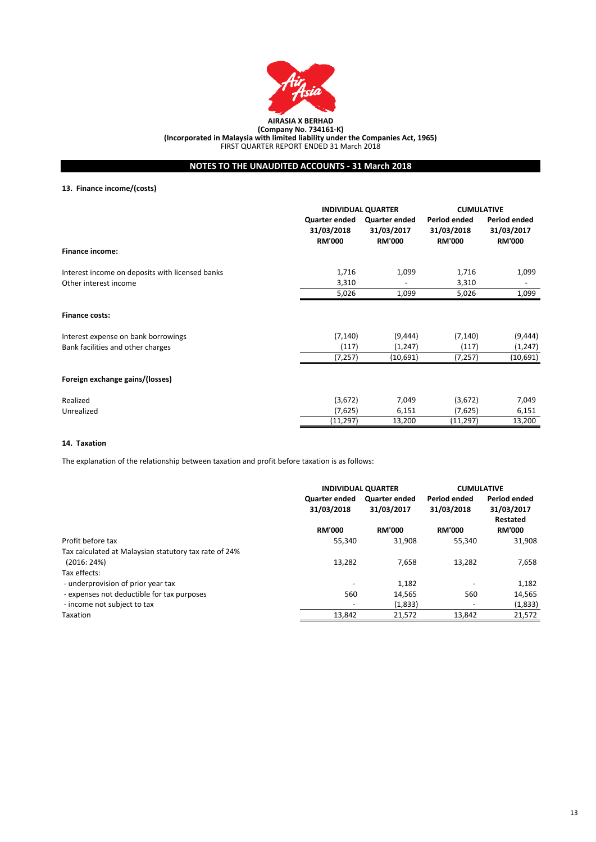

# **NOTES TO THE UNAUDITED ACCOUNTS - 31 March 2018**

**13. Finance income/(costs)**

|                                                 | <b>INDIVIDUAL QUARTER</b>                    |                                              | <b>CUMULATIVE</b>                                  |                                                    |
|-------------------------------------------------|----------------------------------------------|----------------------------------------------|----------------------------------------------------|----------------------------------------------------|
|                                                 | Quarter ended<br>31/03/2018<br><b>RM'000</b> | Quarter ended<br>31/03/2017<br><b>RM'000</b> | <b>Period ended</b><br>31/03/2018<br><b>RM'000</b> | <b>Period ended</b><br>31/03/2017<br><b>RM'000</b> |
| <b>Finance income:</b>                          |                                              |                                              |                                                    |                                                    |
| Interest income on deposits with licensed banks | 1,716                                        | 1,099                                        | 1,716                                              | 1,099                                              |
| Other interest income                           | 3,310                                        |                                              | 3,310                                              | $\overline{\phantom{0}}$                           |
|                                                 | 5,026                                        | 1,099                                        | 5,026                                              | 1,099                                              |
| <b>Finance costs:</b>                           |                                              |                                              |                                                    |                                                    |
| Interest expense on bank borrowings             | (7, 140)                                     | (9, 444)                                     | (7, 140)                                           | (9, 444)                                           |
| Bank facilities and other charges               | (117)                                        | (1, 247)                                     | (117)                                              | (1, 247)                                           |
|                                                 | (7, 257)                                     | (10,691)                                     | (7, 257)                                           | (10,691)                                           |
| Foreign exchange gains/(losses)                 |                                              |                                              |                                                    |                                                    |
| Realized                                        | (3,672)                                      | 7,049                                        | (3,672)                                            | 7,049                                              |
| Unrealized                                      | (7,625)                                      | 6,151                                        | (7,625)                                            | 6,151                                              |
|                                                 | (11, 297)                                    | 13,200                                       | (11, 297)                                          | 13,200                                             |

## **14. Taxation**

The explanation of the relationship between taxation and profit before taxation is as follows:

|                                                       | <b>INDIVIDUAL QUARTER</b> |                      | <b>CUMULATIVE</b>        |                        |
|-------------------------------------------------------|---------------------------|----------------------|--------------------------|------------------------|
|                                                       | Quarter ended             | <b>Quarter ended</b> | <b>Period ended</b>      | <b>Period ended</b>    |
|                                                       | 31/03/2018                | 31/03/2017           | 31/03/2018               | 31/03/2017<br>Restated |
|                                                       | <b>RM'000</b>             | <b>RM'000</b>        | <b>RM'000</b>            | <b>RM'000</b>          |
| Profit before tax                                     | 55,340                    | 31,908               | 55.340                   | 31,908                 |
| Tax calculated at Malaysian statutory tax rate of 24% |                           |                      |                          |                        |
| (2016:24%)                                            | 13,282                    | 7,658                | 13,282                   | 7,658                  |
| Tax effects:                                          |                           |                      |                          |                        |
| - underprovision of prior year tax                    |                           | 1,182                |                          | 1,182                  |
| - expenses not deductible for tax purposes            | 560                       | 14,565               | 560                      | 14,565                 |
| - income not subject to tax                           |                           | (1,833)              | $\overline{\phantom{a}}$ | (1,833)                |
| Taxation                                              | 13.842                    | 21.572               | 13.842                   | 21,572                 |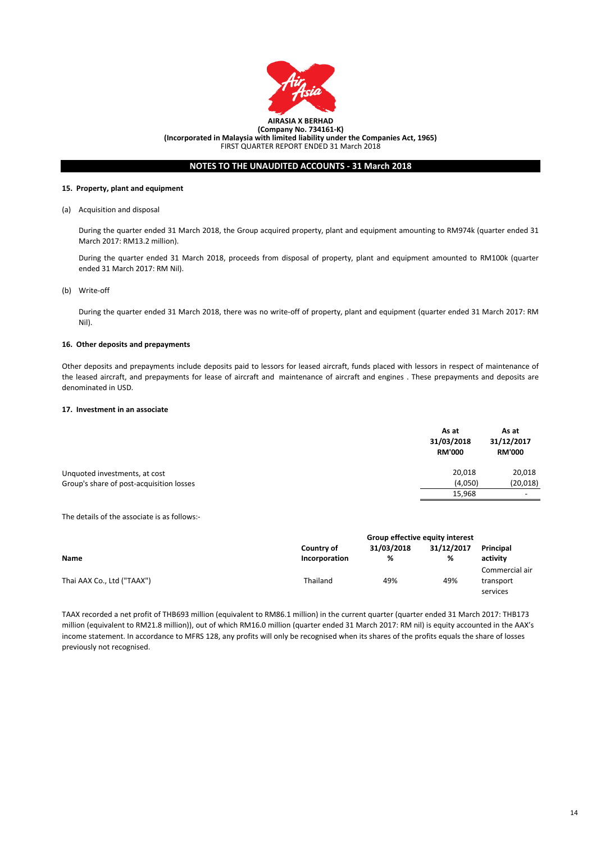

# **NOTES TO THE UNAUDITED ACCOUNTS - 31 March 2018**

#### **15. Property, plant and equipment**

#### (a) Acquisition and disposal

During the quarter ended 31 March 2018, the Group acquired property, plant and equipment amounting to RM974k (quarter ended 31 March 2017: RM13.2 million).

During the quarter ended 31 March 2018, proceeds from disposal of property, plant and equipment amounted to RM100k (quarter ended 31 March 2017: RM Nil).

## (b) Write-off

During the quarter ended 31 March 2018, there was no write-off of property, plant and equipment (quarter ended 31 March 2017: RM Nil).

#### **16. Other deposits and prepayments**

Other deposits and prepayments include deposits paid to lessors for leased aircraft, funds placed with lessors in respect of maintenance of the leased aircraft, and prepayments for lease of aircraft and maintenance of aircraft and engines . These prepayments and deposits are denominated in USD.

## **17. Investment in an associate**

|                                          | As at<br>31/03/2018<br><b>RM'000</b> | As at<br>31/12/2017<br><b>RM'000</b> |
|------------------------------------------|--------------------------------------|--------------------------------------|
| Unquoted investments, at cost            | 20,018                               | 20,018                               |
| Group's share of post-acquisition losses | (4,050)                              | (20, 018)                            |
|                                          | 15,968                               | $\overline{\phantom{a}}$             |

The details of the associate is as follows:-

|                            | Group effective equity interest |            |            |                  |
|----------------------------|---------------------------------|------------|------------|------------------|
|                            | Country of                      | 31/03/2018 | 31/12/2017 | <b>Principal</b> |
| Name                       | Incorporation                   | %          | %          | activity         |
|                            |                                 |            |            | Commercial air   |
| Thai AAX Co., Ltd ("TAAX") | Thailand                        | 49%        | 49%        | transport        |
|                            |                                 |            |            | services         |

TAAX recorded a net profit of THB693 million (equivalent to RM86.1 million) in the current quarter (quarter ended 31 March 2017: THB173 million (equivalent to RM21.8 million)), out of which RM16.0 million (quarter ended 31 March 2017: RM nil) is equity accounted in the AAX's income statement. In accordance to MFRS 128, any profits will only be recognised when its shares of the profits equals the share of losses previously not recognised.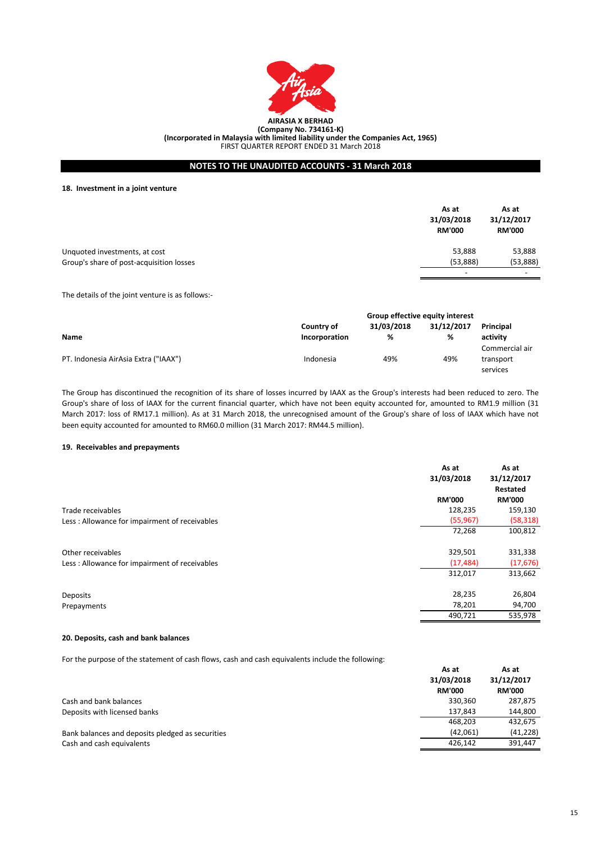

**(Incorporated in Malaysia with limited liability under the Companies Act, 1965)**

FIRST QUARTER REPORT ENDED 31 March 2018

# **NOTES TO THE UNAUDITED ACCOUNTS - 31 March 2018**

**18. Investment in a joint venture**

|                                          | As at<br>31/03/2018<br><b>RM'000</b> | As at<br>31/12/2017<br><b>RM'000</b> |
|------------------------------------------|--------------------------------------|--------------------------------------|
| Unquoted investments, at cost            | 53,888                               | 53,888                               |
| Group's share of post-acquisition losses | (53,888)                             | (53,888)                             |
|                                          | $\overline{\phantom{0}}$             | $\overline{\phantom{0}}$             |

The details of the joint venture is as follows:-

|                                      | Group effective equity interest |            |            |                |
|--------------------------------------|---------------------------------|------------|------------|----------------|
|                                      | Country of                      | 31/03/2018 | 31/12/2017 | Principal      |
| <b>Name</b>                          | Incorporation                   | ℅          | %          | activity       |
|                                      |                                 |            |            | Commercial air |
| PT. Indonesia AirAsia Extra ("IAAX") | Indonesia                       | 49%        | 49%        | transport      |
|                                      |                                 |            |            | services       |

The Group has discontinued the recognition of its share of losses incurred by IAAX as the Group's interests had been reduced to zero. The Group's share of loss of IAAX for the current financial quarter, which have not been equity accounted for, amounted to RM1.9 million (31 March 2017: loss of RM17.1 million). As at 31 March 2018, the unrecognised amount of the Group's share of loss of IAAX which have not been equity accounted for amounted to RM60.0 million (31 March 2017: RM44.5 million).

## **19. Receivables and prepayments**

|                                                | As at<br>31/03/2018 | As at<br>31/12/2017<br>Restated |
|------------------------------------------------|---------------------|---------------------------------|
|                                                | <b>RM'000</b>       | <b>RM'000</b>                   |
| Trade receivables                              | 128,235             | 159,130                         |
| Less: Allowance for impairment of receivables  | (55, 967)           | (58, 318)                       |
|                                                | 72,268              | 100,812                         |
| Other receivables                              | 329,501             | 331,338                         |
| Less : Allowance for impairment of receivables | (17, 484)           | (17, 676)                       |
|                                                | 312,017             | 313,662                         |
| Deposits                                       | 28,235              | 26,804                          |
| Prepayments                                    | 78,201              | 94,700                          |
|                                                | 490,721             | 535,978                         |

## **20. Deposits, cash and bank balances**

For the purpose of the statement of cash flows, cash and cash equivalents include the following:

|                                                  | As at<br>31/03/2018<br><b>RM'000</b> | As at<br>31/12/2017<br><b>RM'000</b> |
|--------------------------------------------------|--------------------------------------|--------------------------------------|
| Cash and bank balances                           | 330,360                              | 287,875                              |
| Deposits with licensed banks                     | 137.843                              | 144,800                              |
|                                                  | 468.203                              | 432,675                              |
| Bank balances and deposits pledged as securities | (42,061)                             | (41, 228)                            |
| Cash and cash equivalents                        | 426.142                              | 391,447                              |

**As at**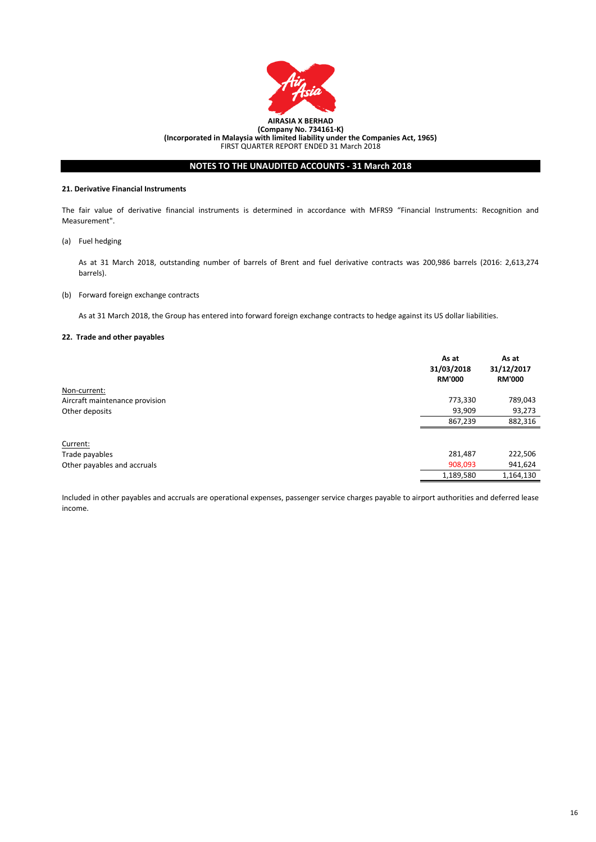

#### **21. Derivative Financial Instruments**

The fair value of derivative financial instruments is determined in accordance with MFRS9 "Financial Instruments: Recognition and Measurement".

(a) Fuel hedging

As at 31 March 2018, outstanding number of barrels of Brent and fuel derivative contracts was 200,986 barrels (2016: 2,613,274 barrels).

(b) Forward foreign exchange contracts

As at 31 March 2018, the Group has entered into forward foreign exchange contracts to hedge against its US dollar liabilities.

## **22. Trade and other payables**

|                                | As at<br>31/03/2018<br><b>RM'000</b> | As at<br>31/12/2017<br><b>RM'000</b> |
|--------------------------------|--------------------------------------|--------------------------------------|
| Non-current:                   |                                      |                                      |
| Aircraft maintenance provision | 773,330                              | 789,043                              |
| Other deposits                 | 93,909                               | 93,273                               |
|                                | 867,239                              | 882,316                              |
| Current:                       |                                      |                                      |
| Trade payables                 | 281,487                              | 222,506                              |
| Other payables and accruals    | 908,093                              | 941,624                              |
|                                | 1,189,580                            | 1,164,130                            |

Included in other payables and accruals are operational expenses, passenger service charges payable to airport authorities and deferred lease income.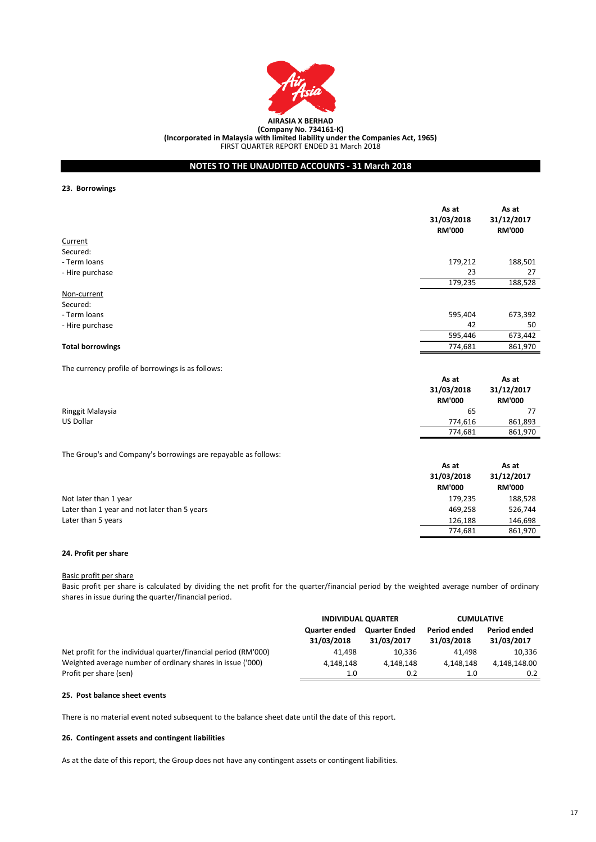

**(Incorporated in Malaysia with limited liability under the Companies Act, 1965)**

FIRST QUARTER REPORT ENDED 31 March 2018

# **NOTES TO THE UNAUDITED ACCOUNTS - 31 March 2018**

**23. Borrowings**

|                                                   | As at<br>31/03/2018<br><b>RM'000</b> | As at<br>31/12/2017<br><b>RM'000</b> |
|---------------------------------------------------|--------------------------------------|--------------------------------------|
| Current                                           |                                      |                                      |
| Secured:                                          |                                      |                                      |
| - Term loans                                      | 179,212                              | 188,501                              |
| - Hire purchase                                   | 23                                   | 27                                   |
|                                                   | 179,235                              | 188,528                              |
| Non-current                                       |                                      |                                      |
| Secured:                                          |                                      |                                      |
| - Term loans                                      | 595,404                              | 673,392                              |
| - Hire purchase                                   | 42                                   | 50                                   |
|                                                   | 595,446                              | 673,442                              |
| <b>Total borrowings</b>                           | 774,681                              | 861,970                              |
| The currency profile of borrowings is as follows: | $A - A$                              | $A - A$                              |

|                  | As at<br>31/03/2018<br><b>RM'000</b> | As at<br>31/12/2017<br><b>RM'000</b> |
|------------------|--------------------------------------|--------------------------------------|
| Ringgit Malaysia | 65                                   | 77                                   |
| US Dollar        | 774.616                              | 861,893                              |
|                  | 774,681                              | 861,970                              |

The Group's and Company's borrowings are repayable as follows:

|                                              | As at<br>31/03/2018<br><b>RM'000</b> | As at<br>31/12/2017<br><b>RM'000</b> |
|----------------------------------------------|--------------------------------------|--------------------------------------|
| Not later than 1 year                        | 179,235                              | 188,528                              |
| Later than 1 year and not later than 5 years | 469.258                              | 526,744                              |
| Later than 5 years                           | 126.188                              | 146,698                              |
|                                              | 774.681                              | 861,970                              |

## **24. Profit per share**

Basic profit per share

Basic profit per share is calculated by dividing the net profit for the quarter/financial period by the weighted average number of ordinary shares in issue during the quarter/financial period.

|                                                                 | <b>INDIVIDUAL QUARTER</b>          |                                    | <b>CUMULATIVE</b>                 |                            |
|-----------------------------------------------------------------|------------------------------------|------------------------------------|-----------------------------------|----------------------------|
|                                                                 | <b>Quarter ended</b><br>31/03/2018 | <b>Quarter Ended</b><br>31/03/2017 | <b>Period ended</b><br>31/03/2018 | Period ended<br>31/03/2017 |
| Net profit for the individual quarter/financial period (RM'000) | 41.498                             | 10.336                             | 41.498                            | 10.336                     |
| Weighted average number of ordinary shares in issue ('000)      | 4.148.148                          | 4.148.148                          | 4.148.148                         | 4.148.148.00               |
| Profit per share (sen)                                          | 1.0                                | 0.2                                | 1.0                               | 0.2                        |

#### **25. Post balance sheet events**

There is no material event noted subsequent to the balance sheet date until the date of this report.

## **26. Contingent assets and contingent liabilities**

As at the date of this report, the Group does not have any contingent assets or contingent liabilities.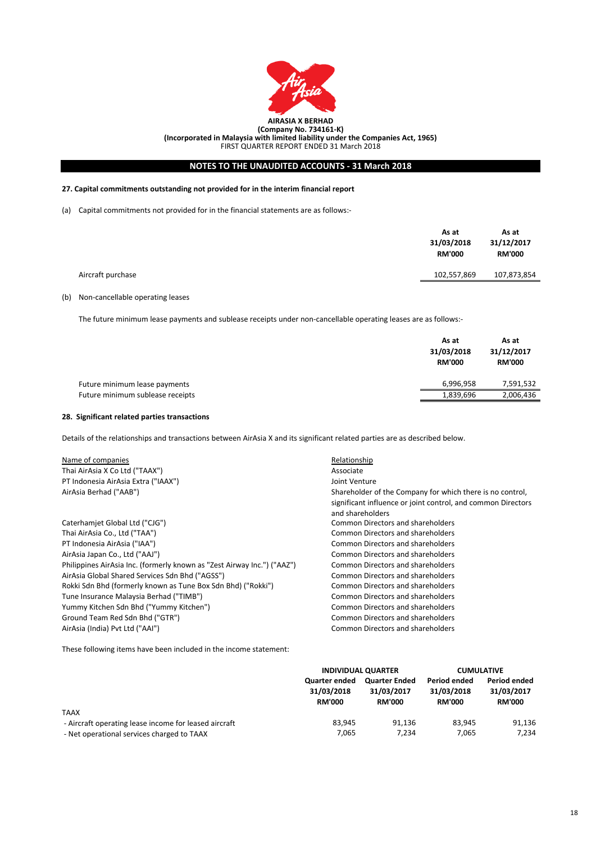

FIRST QUARTER REPORT ENDED 31 March 2018

# **NOTES TO THE UNAUDITED ACCOUNTS - 31 March 2018**

## **27. Capital commitments outstanding not provided for in the interim financial report**

(a) Capital commitments not provided for in the financial statements are as follows:-

|                   | As at<br>31/03/2018<br><b>RM'000</b> | As at<br>31/12/2017<br><b>RM'000</b> |
|-------------------|--------------------------------------|--------------------------------------|
| Aircraft purchase | 102,557,869                          | 107,873,854                          |
|                   |                                      |                                      |

## (b) Non-cancellable operating leases

The future minimum lease payments and sublease receipts under non-cancellable operating leases are as follows:-

|                                  | As at<br>31/03/2018<br><b>RM'000</b> | As at<br>31/12/2017<br><b>RM'000</b> |
|----------------------------------|--------------------------------------|--------------------------------------|
| Future minimum lease payments    | 6,996,958                            | 7,591,532                            |
| Future minimum sublease receipts | 1,839,696                            | 2,006,436                            |

## **28. Significant related parties transactions**

Details of the relationships and transactions between AirAsia X and its significant related parties are as described below.

| Name of companies                                                       | Relationship                                                 |
|-------------------------------------------------------------------------|--------------------------------------------------------------|
| Thai AirAsia X Co Ltd ("TAAX")                                          | Associate                                                    |
| PT Indonesia AirAsia Extra ("IAAX")                                     | Joint Venture                                                |
| AirAsia Berhad ("AAB")                                                  | Shareholder of the Company for which there is no control,    |
|                                                                         | significant influence or joint control, and common Directors |
|                                                                         | and shareholders                                             |
| Caterhamiet Global Ltd ("CJG")                                          | Common Directors and shareholders                            |
| Thai AirAsia Co., Ltd ("TAA")                                           | <b>Common Directors and shareholders</b>                     |
| PT Indonesia AirAsia ("IAA")                                            | <b>Common Directors and shareholders</b>                     |
| AirAsia Japan Co., Ltd ("AAJ")                                          | <b>Common Directors and shareholders</b>                     |
| Philippines AirAsia Inc. (formerly known as "Zest Airway Inc.") ("AAZ") | Common Directors and shareholders                            |
| AirAsia Global Shared Services Sdn Bhd ("AGSS")                         | Common Directors and shareholders                            |
| Rokki Sdn Bhd (formerly known as Tune Box Sdn Bhd) ("Rokki")            | Common Directors and shareholders                            |
| Tune Insurance Malaysia Berhad ("TIMB")                                 | Common Directors and shareholders                            |
| Yummy Kitchen Sdn Bhd ("Yummy Kitchen")                                 | <b>Common Directors and shareholders</b>                     |
| Ground Team Red Sdn Bhd ("GTR")                                         | <b>Common Directors and shareholders</b>                     |
| AirAsia (India) Pvt Ltd ("AAI")                                         | <b>Common Directors and shareholders</b>                     |

These following items have been included in the income statement:

|                                                       | <b>INDIVIDUAL QUARTER</b>                           |                                                     | <b>CUMULATIVE</b>                                  |                                             |
|-------------------------------------------------------|-----------------------------------------------------|-----------------------------------------------------|----------------------------------------------------|---------------------------------------------|
|                                                       | <b>Quarter ended</b><br>31/03/2018<br><b>RM'000</b> | <b>Quarter Ended</b><br>31/03/2017<br><b>RM'000</b> | <b>Period ended</b><br>31/03/2018<br><b>RM'000</b> | Period ended<br>31/03/2017<br><b>RM'000</b> |
| <b>TAAX</b>                                           |                                                     |                                                     |                                                    |                                             |
| - Aircraft operating lease income for leased aircraft | 83.945                                              | 91.136                                              | 83.945                                             | 91,136                                      |
| - Net operational services charged to TAAX            | 7,065                                               | 7.234                                               | 7.065                                              | 7.234                                       |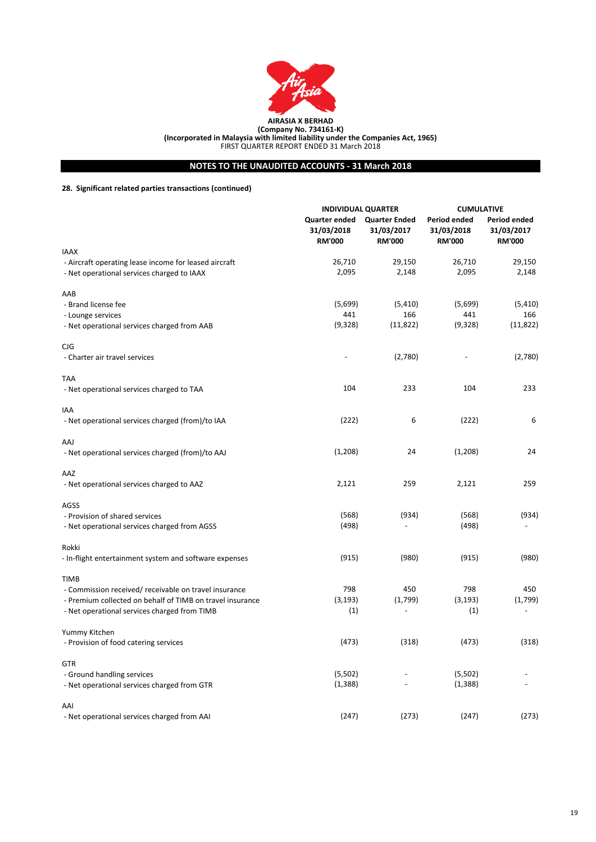

# **NOTES TO THE UNAUDITED ACCOUNTS - 31 March 2018**

# **28. Significant related parties transactions (continued)**

|                                                           | <b>INDIVIDUAL QUARTER</b>                    |                                                     | <b>CUMULATIVE</b>                           |                                             |
|-----------------------------------------------------------|----------------------------------------------|-----------------------------------------------------|---------------------------------------------|---------------------------------------------|
|                                                           | Quarter ended<br>31/03/2018<br><b>RM'000</b> | <b>Quarter Ended</b><br>31/03/2017<br><b>RM'000</b> | Period ended<br>31/03/2018<br><b>RM'000</b> | Period ended<br>31/03/2017<br><b>RM'000</b> |
| <b>IAAX</b>                                               |                                              |                                                     |                                             |                                             |
| - Aircraft operating lease income for leased aircraft     | 26,710                                       | 29,150                                              | 26,710                                      | 29,150                                      |
| - Net operational services charged to IAAX                | 2,095                                        | 2,148                                               | 2,095                                       | 2,148                                       |
| AAB                                                       |                                              |                                                     |                                             |                                             |
| - Brand license fee                                       | (5,699)                                      | (5, 410)                                            | (5,699)                                     | (5, 410)                                    |
| - Lounge services                                         | 441                                          | 166                                                 | 441                                         | 166                                         |
| - Net operational services charged from AAB               | (9,328)                                      | (11, 822)                                           | (9,328)                                     | (11, 822)                                   |
| CJG                                                       |                                              |                                                     |                                             |                                             |
| - Charter air travel services                             |                                              | (2,780)                                             |                                             | (2,780)                                     |
| <b>TAA</b>                                                |                                              |                                                     |                                             |                                             |
| - Net operational services charged to TAA                 | 104                                          | 233                                                 | 104                                         | 233                                         |
| IAA                                                       |                                              |                                                     |                                             |                                             |
| - Net operational services charged (from)/to IAA          | (222)                                        | 6                                                   | (222)                                       | 6                                           |
| AAJ                                                       |                                              |                                                     |                                             |                                             |
| - Net operational services charged (from)/to AAJ          | (1,208)                                      | 24                                                  | (1,208)                                     | 24                                          |
| AAZ                                                       |                                              |                                                     |                                             |                                             |
| - Net operational services charged to AAZ                 | 2,121                                        | 259                                                 | 2,121                                       | 259                                         |
| AGSS                                                      |                                              |                                                     |                                             |                                             |
| - Provision of shared services                            | (568)                                        | (934)                                               | (568)                                       | (934)                                       |
| - Net operational services charged from AGSS              | (498)                                        |                                                     | (498)                                       |                                             |
| Rokki                                                     |                                              |                                                     |                                             |                                             |
| - In-flight entertainment system and software expenses    | (915)                                        | (980)                                               | (915)                                       | (980)                                       |
| <b>TIMB</b>                                               |                                              |                                                     |                                             |                                             |
| - Commission received/ receivable on travel insurance     | 798                                          | 450                                                 | 798                                         | 450                                         |
| - Premium collected on behalf of TIMB on travel insurance | (3, 193)                                     | (1,799)                                             | (3, 193)                                    | (1,799)                                     |
| - Net operational services charged from TIMB              | (1)                                          |                                                     | (1)                                         |                                             |
| Yummy Kitchen                                             |                                              |                                                     |                                             |                                             |
| - Provision of food catering services                     | (473)                                        | (318)                                               | (473)                                       | (318)                                       |
| <b>GTR</b>                                                |                                              |                                                     |                                             |                                             |
| - Ground handling services                                | (5,502)                                      |                                                     | (5,502)                                     |                                             |
| - Net operational services charged from GTR               | (1, 388)                                     |                                                     | (1, 388)                                    |                                             |
| AAI                                                       |                                              |                                                     |                                             |                                             |
| - Net operational services charged from AAI               | (247)                                        | (273)                                               | (247)                                       | (273)                                       |